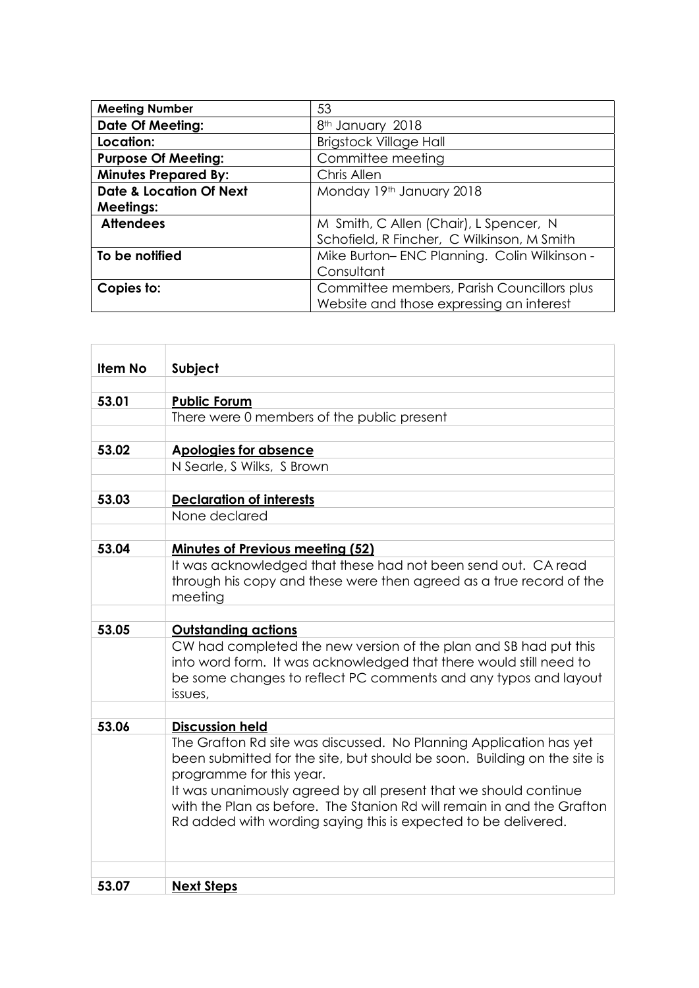| <b>Meeting Number</b>              | 53                                          |
|------------------------------------|---------------------------------------------|
| <b>Date Of Meeting:</b>            | 8 <sup>th</sup> January 2018                |
| Location:                          | <b>Brigstock Village Hall</b>               |
| <b>Purpose Of Meeting:</b>         | Committee meeting                           |
| <b>Minutes Prepared By:</b>        | Chris Allen                                 |
| <b>Date &amp; Location Of Next</b> | Monday 19th January 2018                    |
| <b>Meetings:</b>                   |                                             |
| <b>Attendees</b>                   | M Smith, C Allen (Chair), L Spencer, N      |
|                                    | Schofield, R Fincher, C Wilkinson, M Smith  |
| To be notified                     | Mike Burton-ENC Planning. Colin Wilkinson - |
|                                    | Consultant                                  |
| Copies to:                         | Committee members, Parish Councillors plus  |
|                                    | Website and those expressing an interest    |

| <b>Item No</b> | Subject                                                                                                                              |
|----------------|--------------------------------------------------------------------------------------------------------------------------------------|
|                |                                                                                                                                      |
| 53.01          | <b>Public Forum</b>                                                                                                                  |
|                | There were 0 members of the public present                                                                                           |
|                |                                                                                                                                      |
| 53.02          | Apologies for absence                                                                                                                |
|                | N Searle, S Wilks, S Brown                                                                                                           |
|                |                                                                                                                                      |
| 53.03          | <b>Declaration of interests</b>                                                                                                      |
|                | None declared                                                                                                                        |
|                |                                                                                                                                      |
| 53.04          | <b>Minutes of Previous meeting (52)</b>                                                                                              |
|                | It was acknowledged that these had not been send out. CA read<br>through his copy and these were then agreed as a true record of the |
|                | meeting                                                                                                                              |
|                |                                                                                                                                      |
| 53.05          | <b>Outstanding actions</b>                                                                                                           |
|                | CW had completed the new version of the plan and SB had put this                                                                     |
|                | into word form. It was acknowledged that there would still need to                                                                   |
|                | be some changes to reflect PC comments and any typos and layout                                                                      |
|                | issues,                                                                                                                              |
|                |                                                                                                                                      |
| 53.06          | <b>Discussion held</b>                                                                                                               |
|                | The Grafton Rd site was discussed. No Planning Application has yet                                                                   |
|                | been submitted for the site, but should be soon. Building on the site is                                                             |
|                | programme for this year.<br>It was unanimously agreed by all present that we should continue                                         |
|                | with the Plan as before. The Stanion Rd will remain in and the Grafton                                                               |
|                | Rd added with wording saying this is expected to be delivered.                                                                       |
|                |                                                                                                                                      |
|                |                                                                                                                                      |
|                |                                                                                                                                      |
| 53.07          | <b>Next Steps</b>                                                                                                                    |